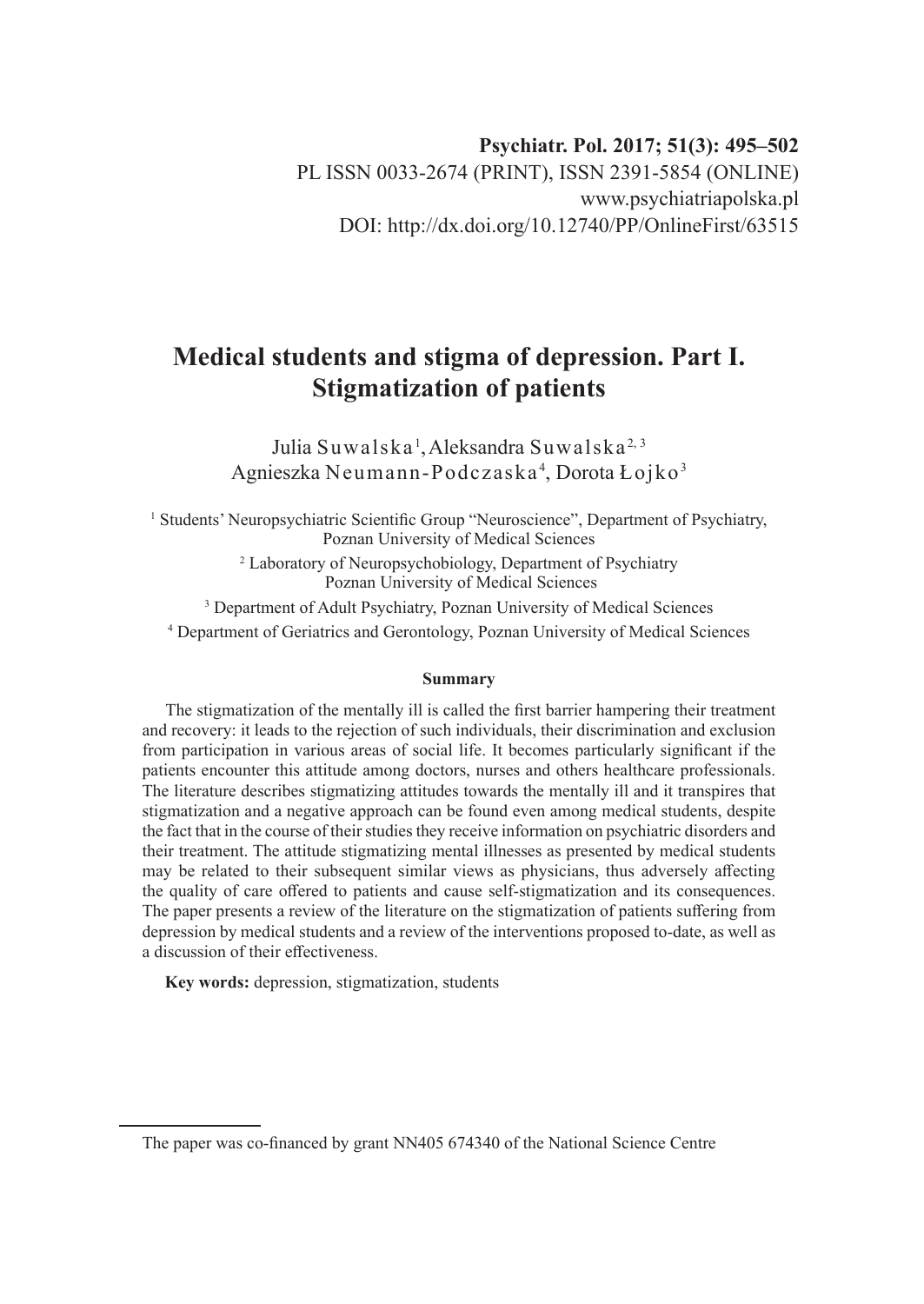**Psychiatr. Pol. 2017; 51(3): 495–502** PL ISSN 0033-2674 (PRINT), ISSN 2391-5854 (ONLINE) www.psychiatriapolska.pl DOI: http://dx.doi.org/10.12740/PP/OnlineFirst/63515

# **Medical students and stigma of depression. Part I. Stigmatization of patients**

Julia Suwalska<sup>1</sup>, Aleksandra Suwalska<sup>2, 3</sup> Agnieszka Neumann-Podczaska<sup>4</sup>, Dorota Łojko<sup>3</sup>

<sup>1</sup> Students' Neuropsychiatric Scientific Group "Neuroscience", Department of Psychiatry, Poznan University of Medical Sciences

> <sup>2</sup> Laboratory of Neuropsychobiology, Department of Psychiatry Poznan University of Medical Sciences

<sup>3</sup> Department of Adult Psychiatry, Poznan University of Medical Sciences 4 Department of Geriatrics and Gerontology, Poznan University of Medical Sciences

#### **Summary**

The stigmatization of the mentally ill is called the first barrier hampering their treatment and recovery: it leads to the rejection of such individuals, their discrimination and exclusion from participation in various areas of social life. It becomes particularly significant if the patients encounter this attitude among doctors, nurses and others healthcare professionals. The literature describes stigmatizing attitudes towards the mentally ill and it transpires that stigmatization and a negative approach can be found even among medical students, despite the fact that in the course of their studies they receive information on psychiatric disorders and their treatment. The attitude stigmatizing mental illnesses as presented by medical students may be related to their subsequent similar views as physicians, thus adversely affecting the quality of care offered to patients and cause self-stigmatization and its consequences. The paper presents a review of the literature on the stigmatization of patients suffering from depression by medical students and a review of the interventions proposed to-date, as well as a discussion of their effectiveness.

**Key words:** depression, stigmatization, students

The paper was co-financed by grant NN405 674340 of the National Science Centre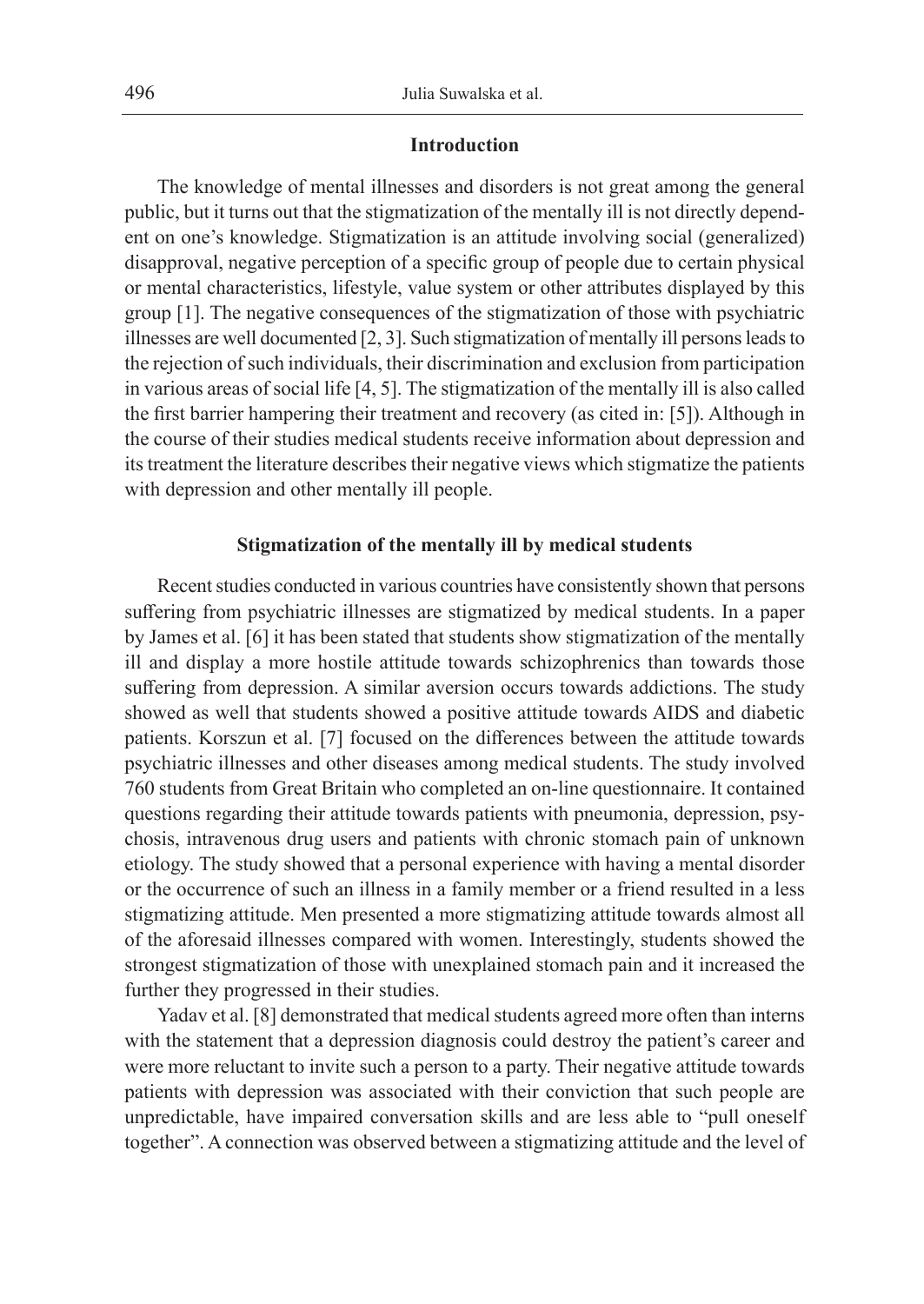## **Introduction**

The knowledge of mental illnesses and disorders is not great among the general public, but it turns out that the stigmatization of the mentally ill is not directly dependent on one's knowledge. Stigmatization is an attitude involving social (generalized) disapproval, negative perception of a specific group of people due to certain physical or mental characteristics, lifestyle, value system or other attributes displayed by this group [1]. The negative consequences of the stigmatization of those with psychiatric illnesses are well documented [2, 3]. Such stigmatization of mentally ill persons leads to the rejection of such individuals, their discrimination and exclusion from participation in various areas of social life [4, 5]. The stigmatization of the mentally ill is also called the first barrier hampering their treatment and recovery (as cited in: [5]). Although in the course of their studies medical students receive information about depression and its treatment the literature describes their negative views which stigmatize the patients with depression and other mentally ill people.

## **Stigmatization of the mentally ill by medical students**

Recent studies conducted in various countries have consistently shown that persons suffering from psychiatric illnesses are stigmatized by medical students. In a paper by James et al. [6] it has been stated that students show stigmatization of the mentally ill and display a more hostile attitude towards schizophrenics than towards those suffering from depression. A similar aversion occurs towards addictions. The study showed as well that students showed a positive attitude towards AIDS and diabetic patients. Korszun et al. [7] focused on the differences between the attitude towards psychiatric illnesses and other diseases among medical students. The study involved 760 students from Great Britain who completed an on-line questionnaire. It contained questions regarding their attitude towards patients with pneumonia, depression, psychosis, intravenous drug users and patients with chronic stomach pain of unknown etiology. The study showed that a personal experience with having a mental disorder or the occurrence of such an illness in a family member or a friend resulted in a less stigmatizing attitude. Men presented a more stigmatizing attitude towards almost all of the aforesaid illnesses compared with women. Interestingly, students showed the strongest stigmatization of those with unexplained stomach pain and it increased the further they progressed in their studies.

Yadav et al. [8] demonstrated that medical students agreed more often than interns with the statement that a depression diagnosis could destroy the patient's career and were more reluctant to invite such a person to a party. Their negative attitude towards patients with depression was associated with their conviction that such people are unpredictable, have impaired conversation skills and are less able to "pull oneself together". A connection was observed between a stigmatizing attitude and the level of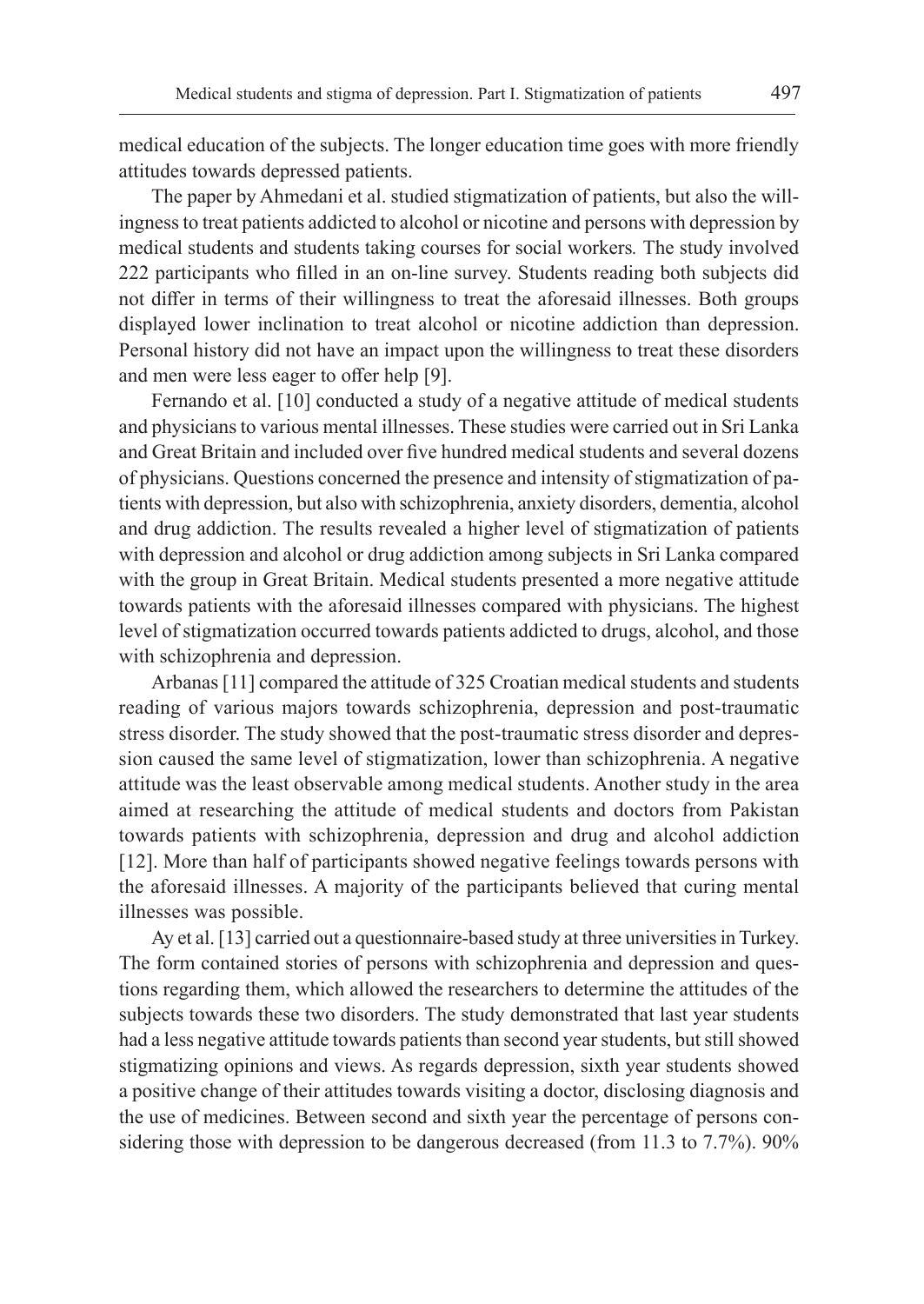medical education of the subjects. The longer education time goes with more friendly attitudes towards depressed patients.

The paper by Ahmedani et al. studied stigmatization of patients, but also the willingness to treat patients addicted to alcohol or nicotine and persons with depression by medical students and students taking courses for social workers*.* The study involved 222 participants who filled in an on-line survey. Students reading both subjects did not differ in terms of their willingness to treat the aforesaid illnesses. Both groups displayed lower inclination to treat alcohol or nicotine addiction than depression. Personal history did not have an impact upon the willingness to treat these disorders and men were less eager to offer help [9].

Fernando et al. [10] conducted a study of a negative attitude of medical students and physicians to various mental illnesses. These studies were carried out in Sri Lanka and Great Britain and included over five hundred medical students and several dozens of physicians. Questions concerned the presence and intensity of stigmatization of patients with depression, but also with schizophrenia, anxiety disorders, dementia, alcohol and drug addiction. The results revealed a higher level of stigmatization of patients with depression and alcohol or drug addiction among subjects in Sri Lanka compared with the group in Great Britain. Medical students presented a more negative attitude towards patients with the aforesaid illnesses compared with physicians. The highest level of stigmatization occurred towards patients addicted to drugs, alcohol, and those with schizophrenia and depression.

Arbanas [11] compared the attitude of 325 Croatian medical students and students reading of various majors towards schizophrenia, depression and post-traumatic stress disorder. The study showed that the post-traumatic stress disorder and depression caused the same level of stigmatization, lower than schizophrenia. A negative attitude was the least observable among medical students. Another study in the area aimed at researching the attitude of medical students and doctors from Pakistan towards patients with schizophrenia, depression and drug and alcohol addiction [12]. More than half of participants showed negative feelings towards persons with the aforesaid illnesses. A majority of the participants believed that curing mental illnesses was possible.

Ay et al. [13] carried out a questionnaire-based study at three universities in Turkey. The form contained stories of persons with schizophrenia and depression and questions regarding them, which allowed the researchers to determine the attitudes of the subjects towards these two disorders. The study demonstrated that last year students had a less negative attitude towards patients than second year students, but still showed stigmatizing opinions and views. As regards depression, sixth year students showed a positive change of their attitudes towards visiting a doctor, disclosing diagnosis and the use of medicines. Between second and sixth year the percentage of persons considering those with depression to be dangerous decreased (from 11.3 to 7.7%). 90%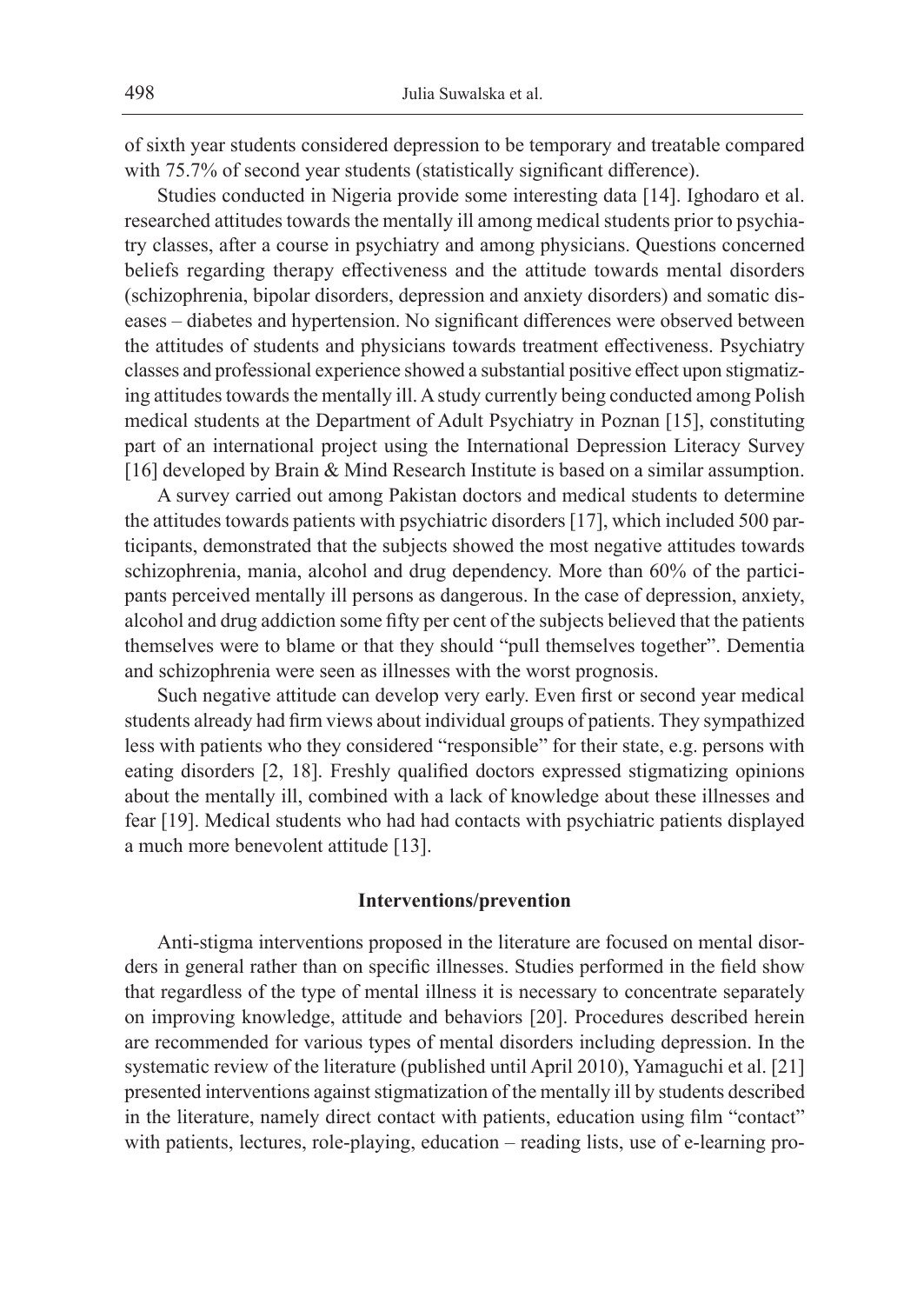of sixth year students considered depression to be temporary and treatable compared with 75.7% of second year students (statistically significant difference).

Studies conducted in Nigeria provide some interesting data [14]. Ighodaro et al. researched attitudes towards the mentally ill among medical students prior to psychiatry classes, after a course in psychiatry and among physicians. Questions concerned beliefs regarding therapy effectiveness and the attitude towards mental disorders (schizophrenia, bipolar disorders, depression and anxiety disorders) and somatic diseases – diabetes and hypertension. No significant differences were observed between the attitudes of students and physicians towards treatment effectiveness. Psychiatry classes and professional experience showed a substantial positive effect upon stigmatizing attitudes towards the mentally ill. A study currently being conducted among Polish medical students at the Department of Adult Psychiatry in Poznan [15], constituting part of an international project using the International Depression Literacy Survey [16] developed by Brain & Mind Research Institute is based on a similar assumption.

A survey carried out among Pakistan doctors and medical students to determine the attitudes towards patients with psychiatric disorders [17], which included 500 participants, demonstrated that the subjects showed the most negative attitudes towards schizophrenia, mania, alcohol and drug dependency. More than 60% of the participants perceived mentally ill persons as dangerous. In the case of depression, anxiety, alcohol and drug addiction some fifty per cent of the subjects believed that the patients themselves were to blame or that they should "pull themselves together". Dementia and schizophrenia were seen as illnesses with the worst prognosis.

Such negative attitude can develop very early. Even first or second year medical students already had firm views about individual groups of patients. They sympathized less with patients who they considered "responsible" for their state, e.g. persons with eating disorders [2, 18]. Freshly qualified doctors expressed stigmatizing opinions about the mentally ill, combined with a lack of knowledge about these illnesses and fear [19]. Medical students who had had contacts with psychiatric patients displayed a much more benevolent attitude [13].

#### **Interventions/prevention**

Anti-stigma interventions proposed in the literature are focused on mental disorders in general rather than on specific illnesses. Studies performed in the field show that regardless of the type of mental illness it is necessary to concentrate separately on improving knowledge, attitude and behaviors [20]. Procedures described herein are recommended for various types of mental disorders including depression. In the systematic review of the literature (published until April 2010), Yamaguchi et al. [21] presented interventions against stigmatization of the mentally ill by students described in the literature, namely direct contact with patients, education using film "contact" with patients, lectures, role-playing, education – reading lists, use of e-learning pro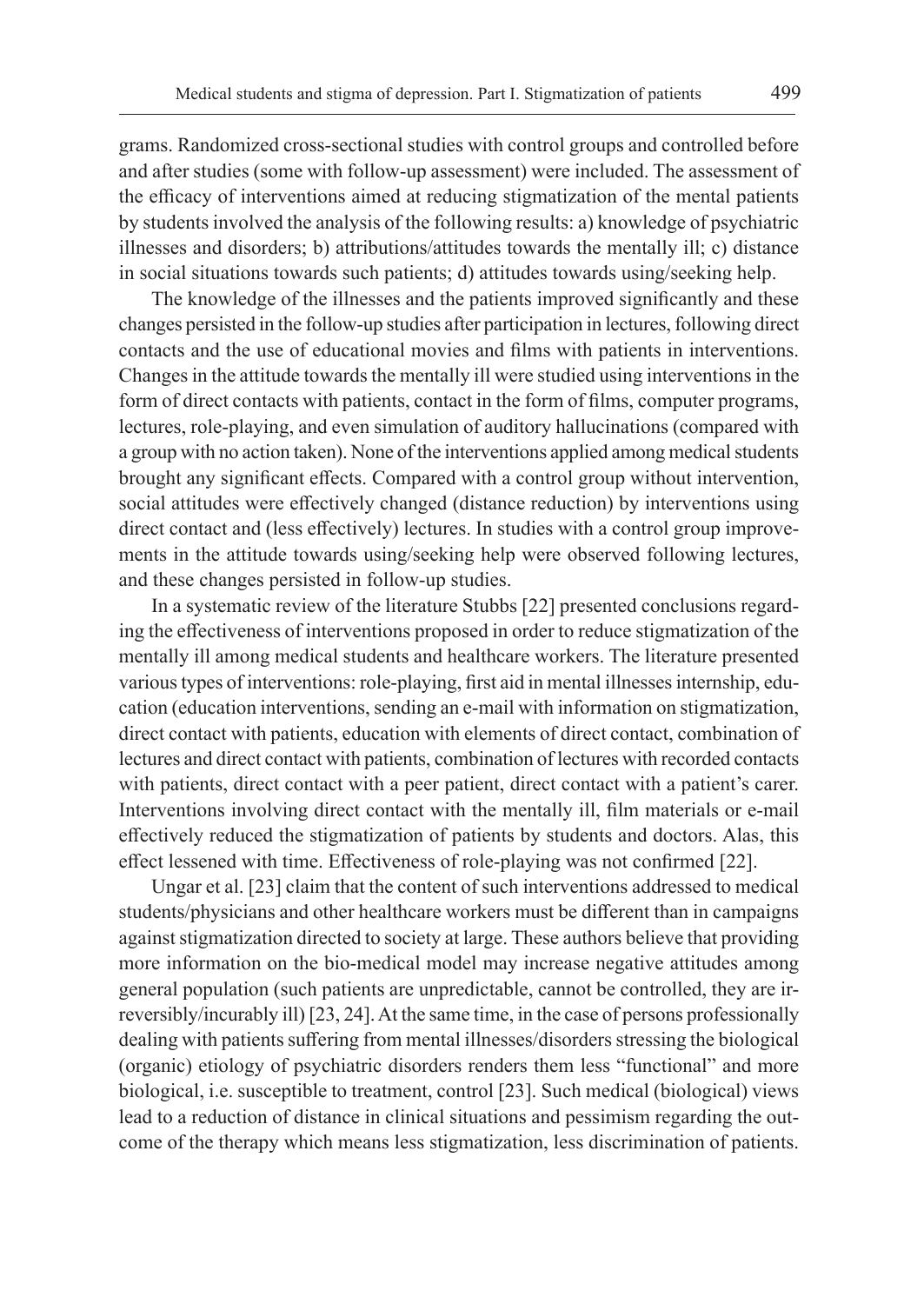grams. Randomized cross-sectional studies with control groups and controlled before and after studies (some with follow-up assessment) were included. The assessment of the efficacy of interventions aimed at reducing stigmatization of the mental patients by students involved the analysis of the following results: a) knowledge of psychiatric illnesses and disorders; b) attributions/attitudes towards the mentally ill; c) distance in social situations towards such patients; d) attitudes towards using/seeking help.

The knowledge of the illnesses and the patients improved significantly and these changes persisted in the follow-up studies after participation in lectures, following direct contacts and the use of educational movies and films with patients in interventions. Changes in the attitude towards the mentally ill were studied using interventions in the form of direct contacts with patients, contact in the form of films, computer programs, lectures, role-playing, and even simulation of auditory hallucinations (compared with a group with no action taken). None of the interventions applied among medical students brought any significant effects. Compared with a control group without intervention, social attitudes were effectively changed (distance reduction) by interventions using direct contact and (less effectively) lectures. In studies with a control group improvements in the attitude towards using/seeking help were observed following lectures, and these changes persisted in follow-up studies.

In a systematic review of the literature Stubbs [22] presented conclusions regarding the effectiveness of interventions proposed in order to reduce stigmatization of the mentally ill among medical students and healthcare workers. The literature presented various types of interventions: role-playing, first aid in mental illnesses internship, education (education interventions, sending an e-mail with information on stigmatization, direct contact with patients, education with elements of direct contact, combination of lectures and direct contact with patients, combination of lectures with recorded contacts with patients, direct contact with a peer patient, direct contact with a patient's carer. Interventions involving direct contact with the mentally ill, film materials or e-mail effectively reduced the stigmatization of patients by students and doctors. Alas, this effect lessened with time. Effectiveness of role-playing was not confirmed [22].

Ungar et al. [23] claim that the content of such interventions addressed to medical students/physicians and other healthcare workers must be different than in campaigns against stigmatization directed to society at large. These authors believe that providing more information on the bio-medical model may increase negative attitudes among general population (such patients are unpredictable, cannot be controlled, they are irreversibly/incurably ill) [23, 24]. At the same time, in the case of persons professionally dealing with patients suffering from mental illnesses/disorders stressing the biological (organic) etiology of psychiatric disorders renders them less "functional" and more biological, i.e. susceptible to treatment, control [23]. Such medical (biological) views lead to a reduction of distance in clinical situations and pessimism regarding the outcome of the therapy which means less stigmatization, less discrimination of patients.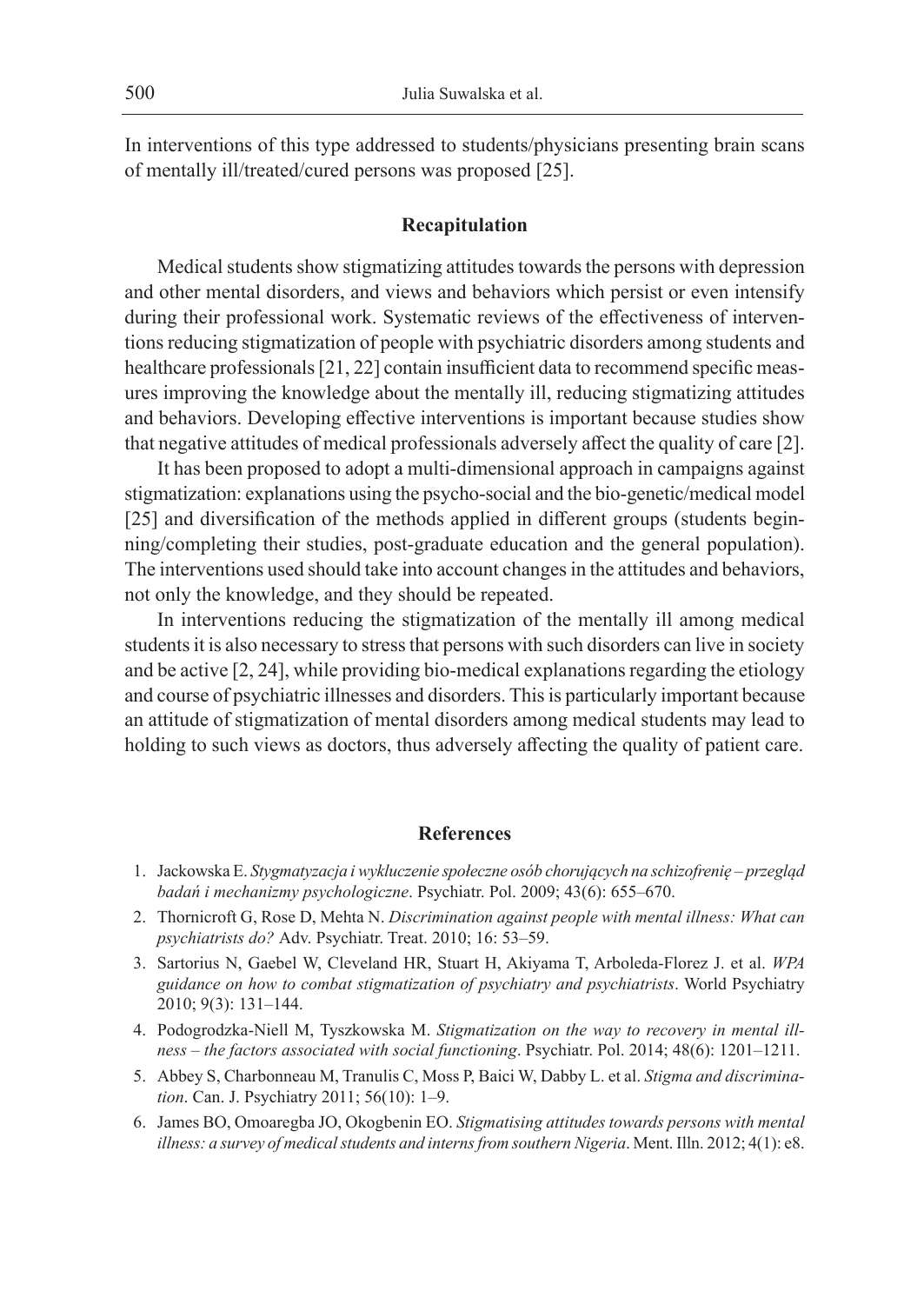In interventions of this type addressed to students/physicians presenting brain scans of mentally ill/treated/cured persons was proposed [25].

## **Recapitulation**

Medical students show stigmatizing attitudes towards the persons with depression and other mental disorders, and views and behaviors which persist or even intensify during their professional work. Systematic reviews of the effectiveness of interventions reducing stigmatization of people with psychiatric disorders among students and healthcare professionals [21, 22] contain insufficient data to recommend specific measures improving the knowledge about the mentally ill, reducing stigmatizing attitudes and behaviors. Developing effective interventions is important because studies show that negative attitudes of medical professionals adversely affect the quality of care [2].

It has been proposed to adopt a multi-dimensional approach in campaigns against stigmatization: explanations using the psycho-social and the bio-genetic/medical model [25] and diversification of the methods applied in different groups (students beginning/completing their studies, post-graduate education and the general population). The interventions used should take into account changes in the attitudes and behaviors, not only the knowledge, and they should be repeated.

In interventions reducing the stigmatization of the mentally ill among medical students it is also necessary to stress that persons with such disorders can live in society and be active [2, 24], while providing bio-medical explanations regarding the etiology and course of psychiatric illnesses and disorders. This is particularly important because an attitude of stigmatization of mental disorders among medical students may lead to holding to such views as doctors, thus adversely affecting the quality of patient care.

## **References**

- 1. Jackowska E. *Stygmatyzacja i wykluczenie społeczne osób chorujących na schizofrenię przegląd badań i mechanizmy psychologiczne*. Psychiatr. Pol. 2009; 43(6): 655–670.
- 2. Thornicroft G, Rose D, Mehta N. *Discrimination against people with mental illness: What can psychiatrists do?* Adv. Psychiatr. Treat. 2010; 16: 53–59.
- 3. Sartorius N, Gaebel W, Cleveland HR, Stuart H, Akiyama T, Arboleda-Florez J. et al. *WPA guidance on how to combat stigmatization of psychiatry and psychiatrists*. World Psychiatry 2010; 9(3): 131–144.
- 4. Podogrodzka-Niell M, Tyszkowska M. *Stigmatization on the way to recovery in mental illness – the factors associated with social functioning*. Psychiatr. Pol. 2014; 48(6): 1201–1211.
- 5. Abbey S, Charbonneau M, Tranulis C, Moss P, Baici W, Dabby L. et al. *Stigma and discrimination*. Can. J. Psychiatry 2011; 56(10): 1–9.
- 6. James BO, Omoaregba JO, Okogbenin EO. *Stigmatising attitudes towards persons with mental illness: a survey of medical students and interns from southern Nigeria*. Ment. Illn. 2012; 4(1): e8.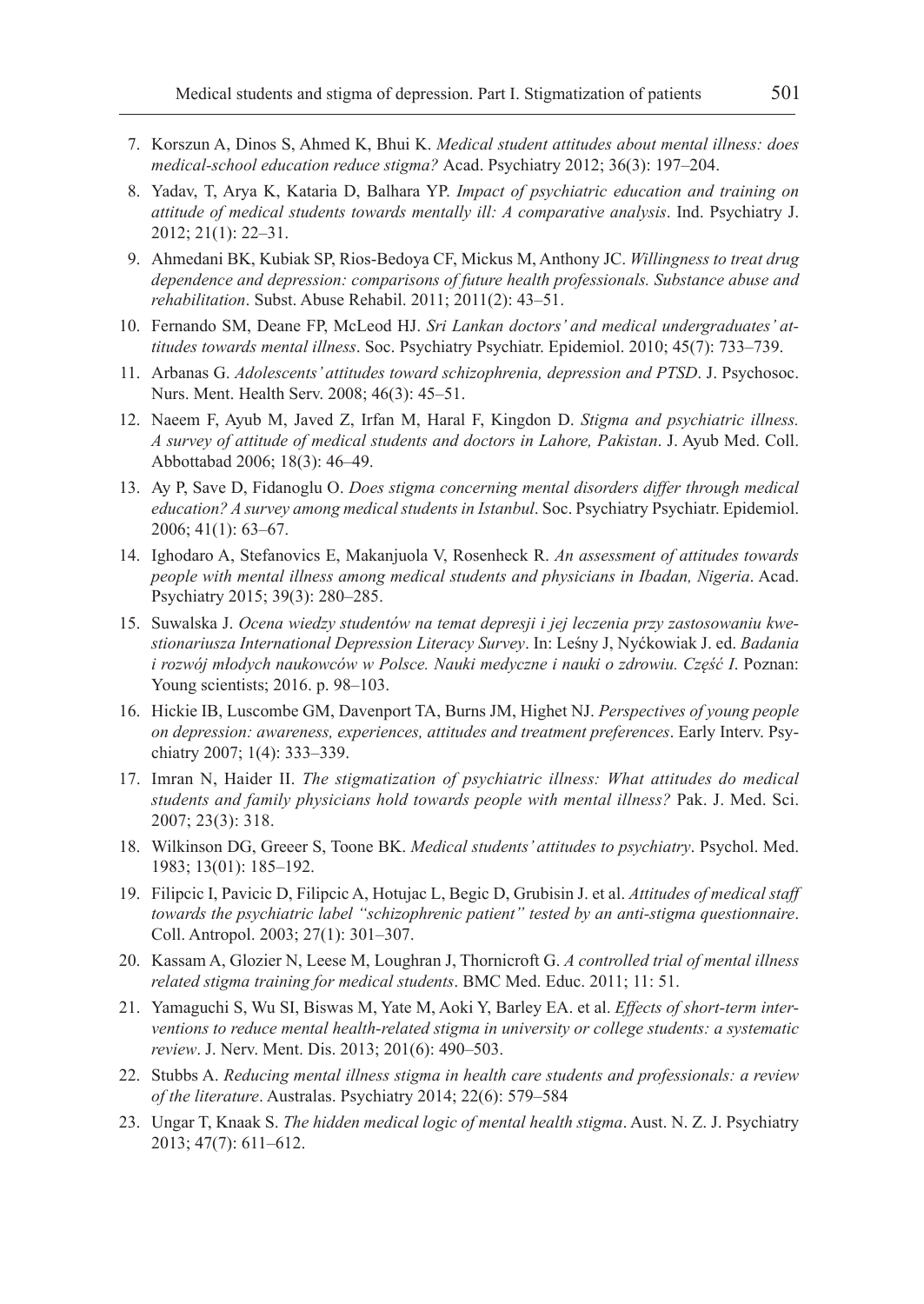- 7. Korszun A, Dinos S, Ahmed K, Bhui K. *Medical student attitudes about mental illness: does medical-school education reduce stigma?* Acad. Psychiatry 2012; 36(3): 197–204.
- 8. Yadav, T, Arya K, Kataria D, Balhara YP. *Impact of psychiatric education and training on attitude of medical students towards mentally ill: A comparative analysis*. Ind. Psychiatry J. 2012; 21(1): 22–31.
- 9. Ahmedani BK, Kubiak SP, Rios-Bedoya CF, Mickus M, Anthony JC. *Willingness to treat drug dependence and depression: comparisons of future health professionals. Substance abuse and rehabilitation*. Subst. Abuse Rehabil. 2011; 2011(2): 43–51.
- 10. Fernando SM, Deane FP, McLeod HJ. *Sri Lankan doctors' and medical undergraduates' attitudes towards mental illness*. Soc. Psychiatry Psychiatr. Epidemiol. 2010; 45(7): 733–739.
- 11. Arbanas G. *Adolescents' attitudes toward schizophrenia, depression and PTSD*. J. Psychosoc. Nurs. Ment. Health Serv. 2008; 46(3): 45–51.
- 12. Naeem F, Ayub M, Javed Z, Irfan M, Haral F, Kingdon D. *Stigma and psychiatric illness. A survey of attitude of medical students and doctors in Lahore, Pakistan*. J. Ayub Med. Coll. Abbottabad 2006; 18(3): 46–49.
- 13. Ay P, Save D, Fidanoglu O. *Does stigma concerning mental disorders differ through medical education? A survey among medical students in Istanbul*. Soc. Psychiatry Psychiatr. Epidemiol. 2006; 41(1): 63–67.
- 14. Ighodaro A, Stefanovics E, Makanjuola V, Rosenheck R. *An assessment of attitudes towards people with mental illness among medical students and physicians in Ibadan, Nigeria*. Acad. Psychiatry 2015; 39(3): 280–285.
- 15. Suwalska J. *Ocena wiedzy studentów na temat depresji i jej leczenia przy zastosowaniu kwestionariusza International Depression Literacy Survey*. In: Leśny J, Nyćkowiak J. ed. *Badania i rozwój młodych naukowców w Polsce. Nauki medyczne i nauki o zdrowiu. Część I*. Poznan: Young scientists; 2016. p. 98–103.
- 16. Hickie IB, Luscombe GM, Davenport TA, Burns JM, Highet NJ. *Perspectives of young people on depression: awareness, experiences, attitudes and treatment preferences*. Early Interv. Psychiatry 2007; 1(4): 333–339.
- 17. Imran N, Haider II. *The stigmatization of psychiatric illness: What attitudes do medical students and family physicians hold towards people with mental illness?* Pak. J. Med. Sci. 2007; 23(3): 318.
- 18. Wilkinson DG, Greeer S, Toone BK. *Medical students' attitudes to psychiatry*. Psychol. Med. 1983; 13(01): 185–192.
- 19. Filipcic I, Pavicic D, Filipcic A, Hotujac L, Begic D, Grubisin J. et al. *Attitudes of medical staff towards the psychiatric label "schizophrenic patient" tested by an anti-stigma questionnaire*. Coll. Antropol. 2003; 27(1): 301–307.
- 20. Kassam A, Glozier N, Leese M, Loughran J, Thornicroft G. *A controlled trial of mental illness related stigma training for medical students*. BMC Med. Educ. 2011; 11: 51.
- 21. Yamaguchi S, Wu SI, Biswas M, Yate M, Aoki Y, Barley EA. et al. *Effects of short-term interventions to reduce mental health-related stigma in university or college students: a systematic review*. J. Nerv. Ment. Dis. 2013; 201(6): 490–503.
- 22. Stubbs A. *Reducing mental illness stigma in health care students and professionals: a review of the literature*. Australas. Psychiatry 2014; 22(6): 579–584
- 23. Ungar T, Knaak S. *The hidden medical logic of mental health stigma*. Aust. N. Z. J. Psychiatry 2013; 47(7): 611–612.